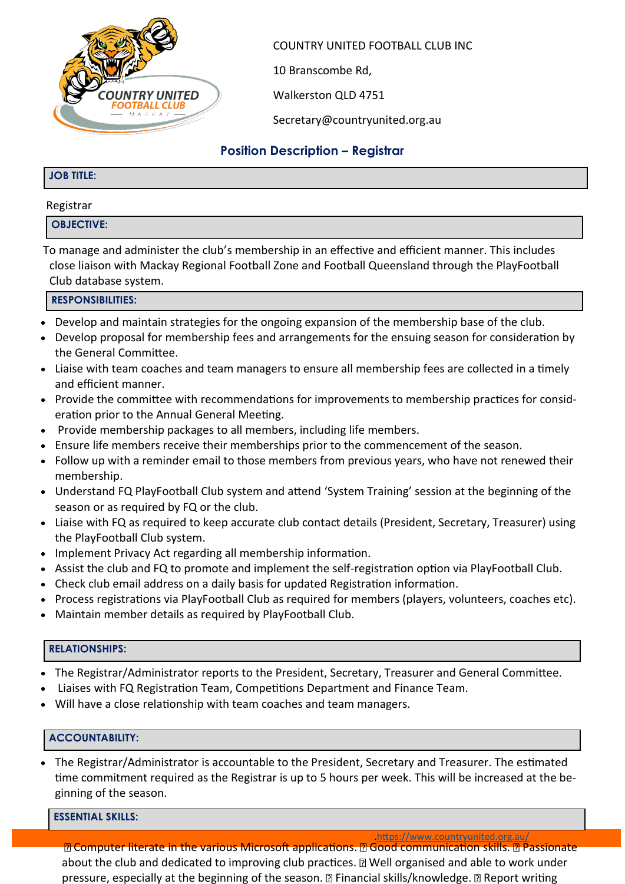

COUNTRY UNITED FOOTBALL CLUB INC

10 Branscombe Rd,

Walkerston QLD 4751

Secretary@countryunited.org.au

# **Position Description – Registrar**

### **JOB TITLE:**

#### Registrar

## **OBJECTIVE:**

To manage and administer the club's membership in an effective and efficient manner. This includes close liaison with Mackay Regional Football Zone and Football Queensland through the PlayFootball Club database system.

### **RESPONSIBILITIES:**

- Develop and maintain strategies for the ongoing expansion of the membership base of the club.
- Develop proposal for membership fees and arrangements for the ensuing season for consideration by the General Committee.
- Liaise with team coaches and team managers to ensure all membership fees are collected in a timely and efficient manner.
- Provide the committee with recommendations for improvements to membership practices for consideration prior to the Annual General Meeting.
- Provide membership packages to all members, including life members.
- Ensure life members receive their memberships prior to the commencement of the season.
- Follow up with a reminder email to those members from previous years, who have not renewed their membership.
- Understand FQ PlayFootball Club system and attend 'System Training' session at the beginning of the season or as required by FQ or the club.
- Liaise with FQ as required to keep accurate club contact details (President, Secretary, Treasurer) using the PlayFootball Club system.
- Implement Privacy Act regarding all membership information.
- Assist the club and FQ to promote and implement the self-registration option via PlayFootball Club.
- Check club email address on a daily basis for updated Registration information.
- Process registrations via PlayFootball Club as required for members (players, volunteers, coaches etc).
- Maintain member details as required by PlayFootball Club.

#### **RELATIONSHIPS:**

- The Registrar/Administrator reports to the President, Secretary, Treasurer and General Committee.
- Liaises with FQ Registration Team, Competitions Department and Finance Team.
- Will have a close relationship with team coaches and team managers.

#### **ACCOUNTABILITY:**

• The Registrar/Administrator is accountable to the President, Secretary and Treasurer. The estimated time commitment required as the Registrar is up to 5 hours per week. This will be increased at the beginning of the season.

#### **ESSENTIAL SKILLS:**

[.https://www.countryunited.org.au/](https://www.countryunited.org.au/) **R** Computer literate in the various Microsoft applications. **R** Good communication skills. **R** Passionate about the club and dedicated to improving club practices. **I** Well organised and able to work under pressure, especially at the beginning of the season. **I Financial skills/knowledge. I Report writing**